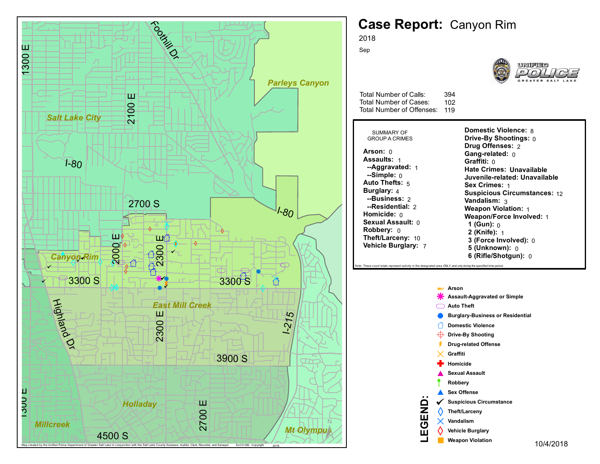

## **Case Report:** Canyon Rim



**Domestic Violence:** 8 **Drive-By Shootings:** 0 **Drug Offenses:** 2 **Gang-related:** 0 **Graffiti:** 0 **Hate Crimes: Unavailable Juvenile-related: Unavailable Sex Crimes:** 1 **Suspicious Circumstances:** 12 **Vandalism:** 3 **Weapon Violation:** 1 **Weapon/Force Involved:** 1 **1 (Gun):** 0 **2 (Knife):** 1 **3 (Force Involved):** 0 **5 (Unknown):** 0 **6 (Rifle/Shotgun):** 0

od area ONLY, and only during the specified time period

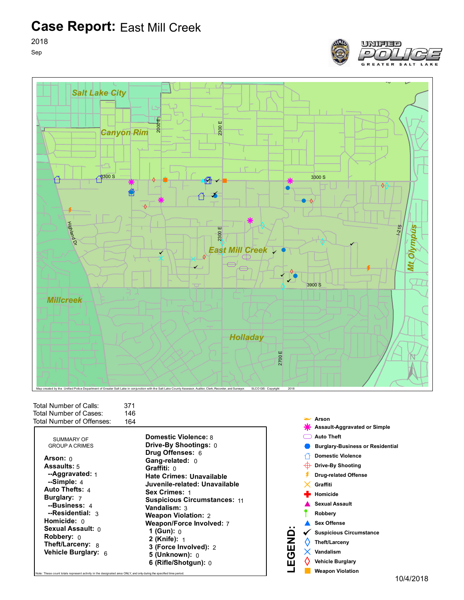**Case Report:** East Mill Creek

2018

Sep



| Total Number of Calls:    | 371 |
|---------------------------|-----|
| Total Number of Cases:    | 146 |
| Total Number of Offenses: | 164 |

| SUMMARY OF<br><b>GROUP A CRIMES</b>                                                                                                                                                                                                                                              | <b>Domestic Violence: 8</b><br>Drive-By Shootings: 0                                                                                                                                                                                                                                                                                                                                        |
|----------------------------------------------------------------------------------------------------------------------------------------------------------------------------------------------------------------------------------------------------------------------------------|---------------------------------------------------------------------------------------------------------------------------------------------------------------------------------------------------------------------------------------------------------------------------------------------------------------------------------------------------------------------------------------------|
| Arson: $0$<br><b>Assaults:</b> 5<br>--Aggravated: $_1$<br>$-Simple: 4$<br>Auto Thefts: 4<br><b>Burglary:</b> 7<br>--Business: 4<br>--Residential: 3<br>Homicide: $0$<br><b>Sexual Assault:</b> 0<br><b>Robbery:</b> $\theta$<br><b>Theft/Larceny: 8</b><br>Vehicle Burglary: $6$ | <b>Drug Offenses: 6</b><br>Gang-related: 0<br>Graffiti: 0<br><b>Hate Crimes: Unavailable</b><br>Juvenile-related: Unavailable<br><b>Sex Crimes: 1</b><br><b>Suspicious Circumstances: 11</b><br><b>Vandalism:</b> 3<br><b>Weapon Violation: 2</b><br>Weapon/Force Involved: 7<br>1 (Gun): $0$<br><b>2 (Knife):</b> 1<br>3 (Force Involved): 2<br>$5$ (Unknown): $0$<br>6 (Rifle/Shotqun): 0 |
| Note: These count totals represent activity in the designated area ONLY, and only during the specified time period.                                                                                                                                                              |                                                                                                                                                                                                                                                                                                                                                                                             |

Map created by the Unified Police Department of Greater Salt Lake in conjunction with the Salt Lake County Assessor, Auditor, Clerk, Recorder, and Surveyor. SLCO GIS: Copyright



UNIFIED

 $\Gamma$ 

**L**

<u>ت</u>

2018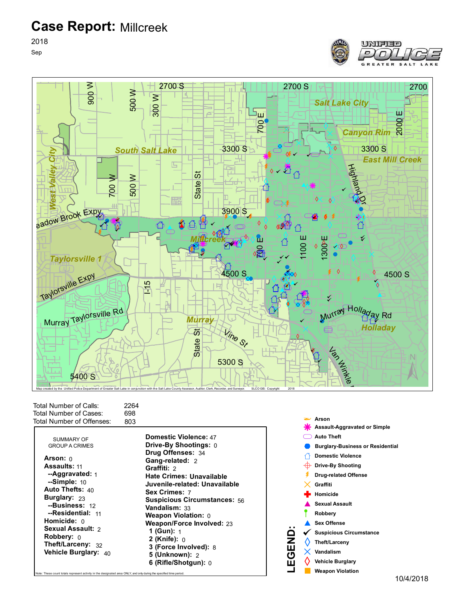**Case Report:** Millcreek

2018 Sep





Total Number of Calls: Total Number of Cases: Total Number of Offenses: 2264 698 803

| <b>Domestic Violence: 47</b><br><b>Drive-By Shootings: 0</b>                                                                                                                                                                                                                                                                              |
|-------------------------------------------------------------------------------------------------------------------------------------------------------------------------------------------------------------------------------------------------------------------------------------------------------------------------------------------|
| Drug Offenses: 34<br>Gang-related: 2<br>Graffiti: 2<br><b>Hate Crimes: Unavailable</b><br>Juvenile-related: Unavailable<br>Sex Crimes: 7<br><b>Suspicious Circumstances: 56</b><br><b>Vandalism: 33</b><br><b>Weapon Violation: 0</b><br><b>Weapon/Force Involved: 23</b><br><b>1 (Gun):</b> 1<br>2 (Knife): $0$<br>3 (Force Involved): 8 |
| <b>5 (Unknown): 2</b><br>6 (Rifle/Shotgun): 0                                                                                                                                                                                                                                                                                             |
|                                                                                                                                                                                                                                                                                                                                           |

vity in the designated area ONLY, and only during the specified t



**LEGEN**<u>ت</u>